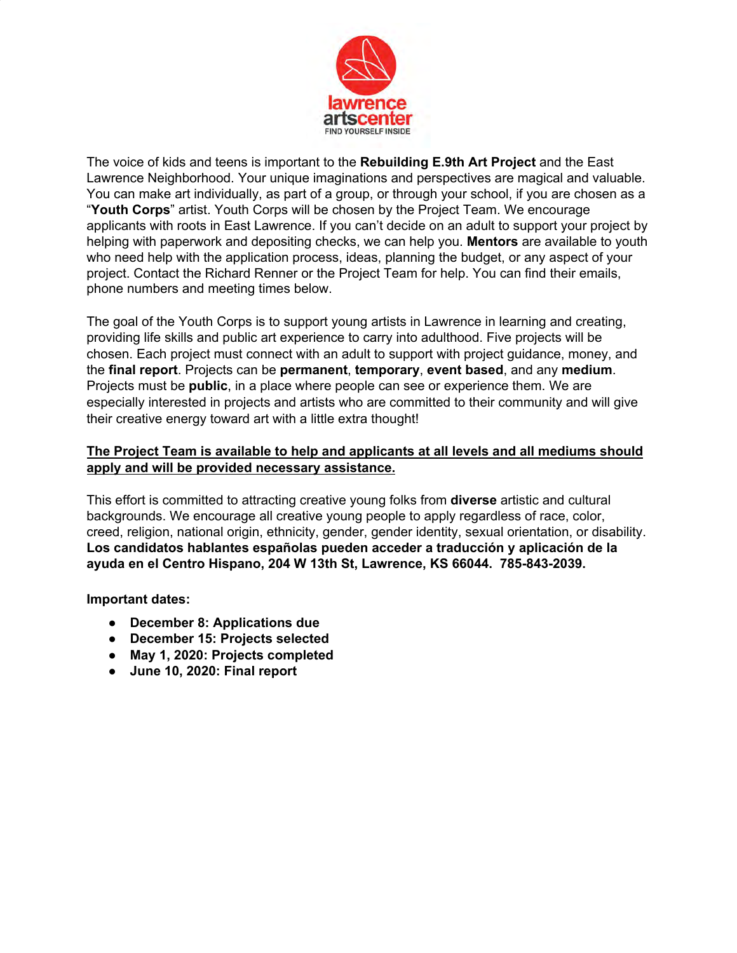

The voice of kids and teens is important to the **Rebuilding E.9th Art Project** and the East Lawrence Neighborhood. Your unique imaginations and perspectives are magical and valuable. You can make art individually, as part of a group, or through your school, if you are chosen as a "**Youth Corps**" artist. Youth Corps will be chosen by the Project Team. We encourage applicants with roots in East Lawrence. If you can't decide on an adult to support your project by helping with paperwork and depositing checks, we can help you. **Mentors** are available to youth who need help with the application process, ideas, planning the budget, or any aspect of your project. Contact the Richard Renner or the Project Team for help. You can find their emails, phone numbers and meeting times below.

The goal of the Youth Corps is to support young artists in Lawrence in learning and creating, providing life skills and public art experience to carry into adulthood. Five projects will be chosen. Each project must connect with an adult to support with project guidance, money, and the **final report**. Projects can be **permanent**, **temporary**, **event based**, and any **medium**. Projects must be **public**, in a place where people can see or experience them. We are especially interested in projects and artists who are committed to their community and will give their creative energy toward art with a little extra thought!

## **The Project Team is available to help and applicants at all levels and all mediums should apply and will be provided necessary assistance.**

This effort is committed to attracting creative young folks from **diverse** artistic and cultural backgrounds. We encourage all creative young people to apply regardless of race, color, creed, religion, national origin, ethnicity, gender, gender identity, sexual orientation, or disability. **Los candidatos hablantes españolas pueden acceder a traducción y aplicación de la ayuda en el Centro Hispano, 204 W 13th St, Lawrence, KS 66044. 785-843-2039.** 

**Important dates:** 

- **● December 8: Applications due**
- **December 15: Projects selected**
- **May 1, 2020: Projects completed**
- **June 10, 2020: Final report**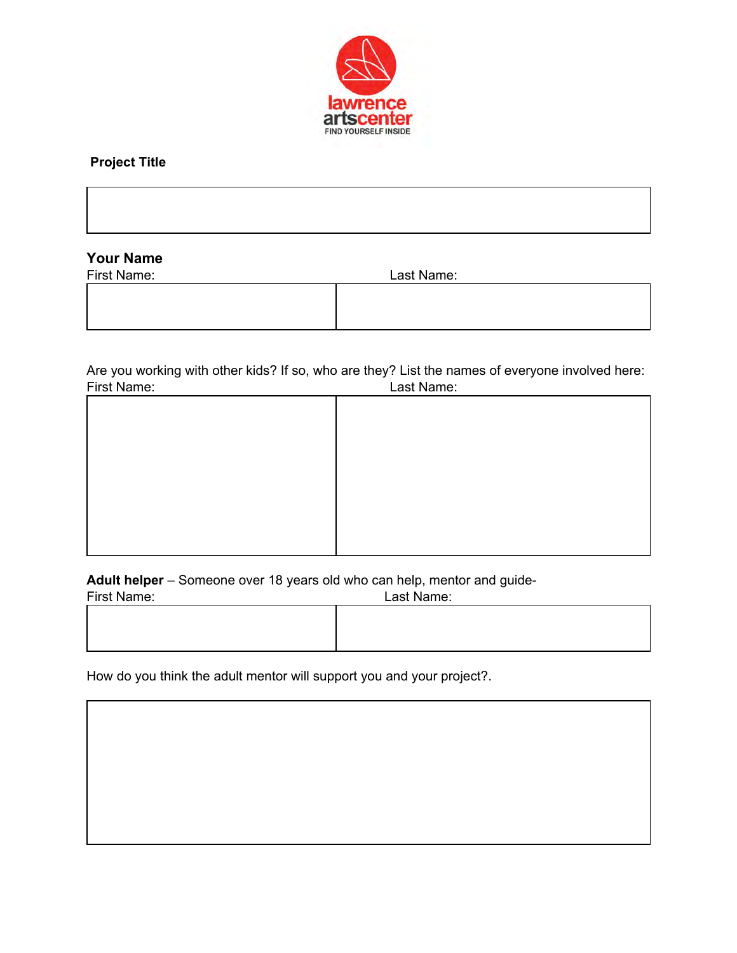

# **Project Title**

| $\mathbf{v}$<br>. |  |  |  |
|-------------------|--|--|--|

## **Your Name**

| First Name: | Last Name: |  |
|-------------|------------|--|
|             |            |  |
|             |            |  |
|             |            |  |

Are you working with other kids? If so, who are they? List the names of everyone involved here:<br>First Name: First Name: Last Name:

| <b>FIISU INAILIE.</b> | Last Ivallie. |
|-----------------------|---------------|
|                       |               |
|                       |               |
|                       |               |
|                       |               |
|                       |               |
|                       |               |
|                       |               |
|                       |               |
|                       |               |
|                       |               |
|                       |               |
|                       |               |
|                       |               |
|                       |               |
|                       |               |
|                       |               |
|                       |               |

**Adult helper** – Someone over 18 years old who can help, mentor and guide-

| First Name: | Last Name: |  |
|-------------|------------|--|
|             |            |  |
|             |            |  |
|             |            |  |

How do you think the adult mentor will support you and your project?.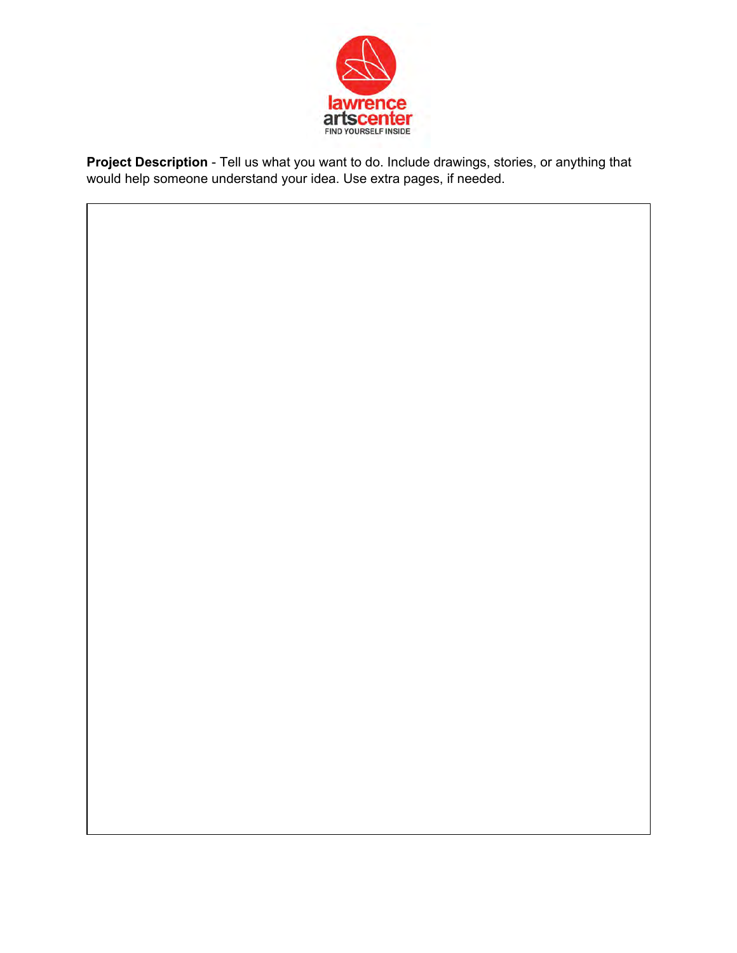

**Project Description** - Tell us what you want to do. Include drawings, stories, or anything that would help someone understand your idea. Use extra pages, if needed.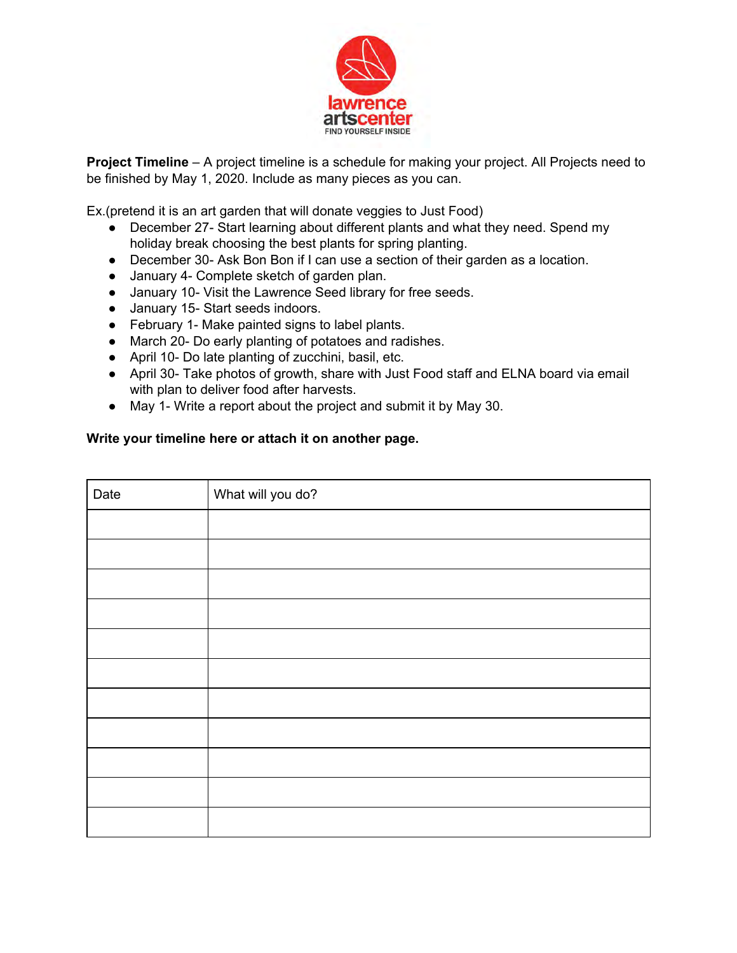

**Project Timeline** – A project timeline is a schedule for making your project. All Projects need to be finished by May 1, 2020. Include as many pieces as you can.

Ex.(pretend it is an art garden that will donate veggies to Just Food)

- December 27- Start learning about different plants and what they need. Spend my holiday break choosing the best plants for spring planting.
- December 30- Ask Bon Bon if I can use a section of their garden as a location.
- January 4- Complete sketch of garden plan.
- January 10- Visit the Lawrence Seed library for free seeds.
- January 15- Start seeds indoors.
- February 1- Make painted signs to label plants.
- March 20- Do early planting of potatoes and radishes.
- April 10- Do late planting of zucchini, basil, etc.
- April 30- Take photos of growth, share with Just Food staff and ELNA board via email with plan to deliver food after harvests.
- May 1- Write a report about the project and submit it by May 30.

#### **Write your timeline here or attach it on another page.**

| Date | What will you do? |
|------|-------------------|
|      |                   |
|      |                   |
|      |                   |
|      |                   |
|      |                   |
|      |                   |
|      |                   |
|      |                   |
|      |                   |
|      |                   |
|      |                   |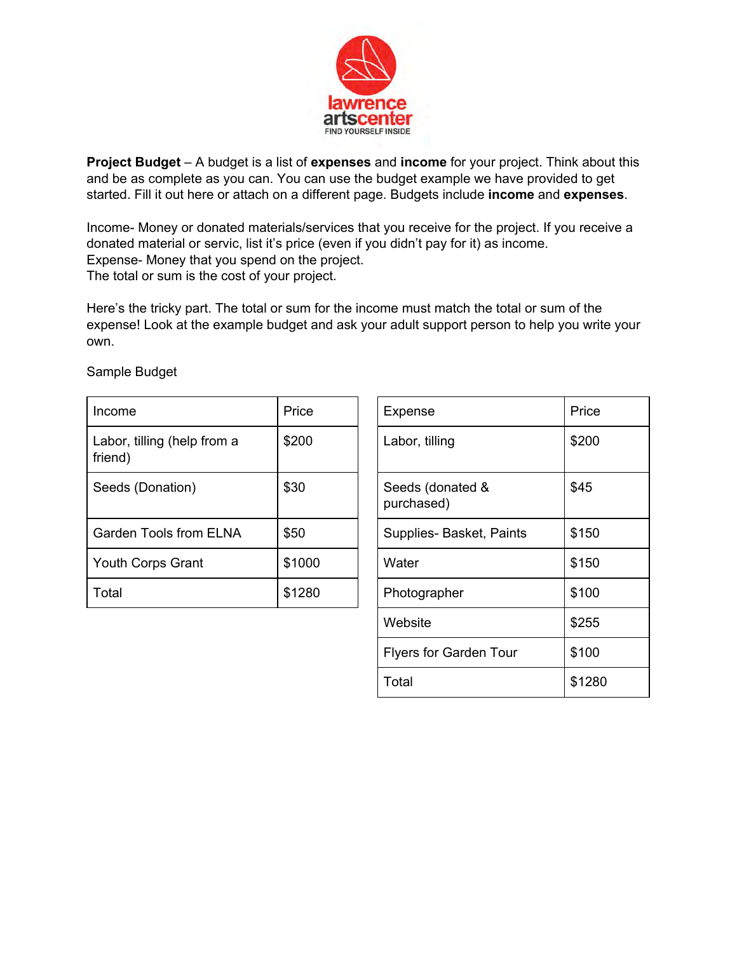

**Project Budget** – A budget is a list of **expenses** and **income** for your project. Think about this and be as complete as you can. You can use the budget example we have provided to get started. Fill it out here or attach on a different page. Budgets include **income** and **expenses**.

Income- Money or donated materials/services that you receive for the project. If you receive a donated material or servic, list it's price (even if you didn't pay for it) as income. Expense- Money that you spend on the project. The total or sum is the cost of your project.

Here's the tricky part. The total or sum for the income must match the total or sum of the expense! Look at the example budget and ask your adult support person to help you write your own.

| Income                                 | Price  | Expense                        | Price |
|----------------------------------------|--------|--------------------------------|-------|
| Labor, tilling (help from a<br>friend) | \$200  | Labor, tilling                 | \$200 |
| Seeds (Donation)                       | \$30   | Seeds (donated &<br>purchased) | \$45  |
| <b>Garden Tools from ELNA</b>          | \$50   | Supplies-Basket, Paints        | \$150 |
| Youth Corps Grant                      | \$1000 | Water                          | \$150 |
| Total                                  | \$1280 | Photographer                   | \$100 |

Sample Budget

| Price  | Expense                        | Price  |
|--------|--------------------------------|--------|
| \$200  | Labor, tilling                 | \$200  |
| \$30   | Seeds (donated &<br>purchased) | \$45   |
| \$50   | Supplies-Basket, Paints        | \$150  |
| \$1000 | Water                          | \$150  |
| \$1280 | Photographer                   | \$100  |
|        | Website                        | \$255  |
|        | <b>Flyers for Garden Tour</b>  | \$100  |
|        | Total                          | \$1280 |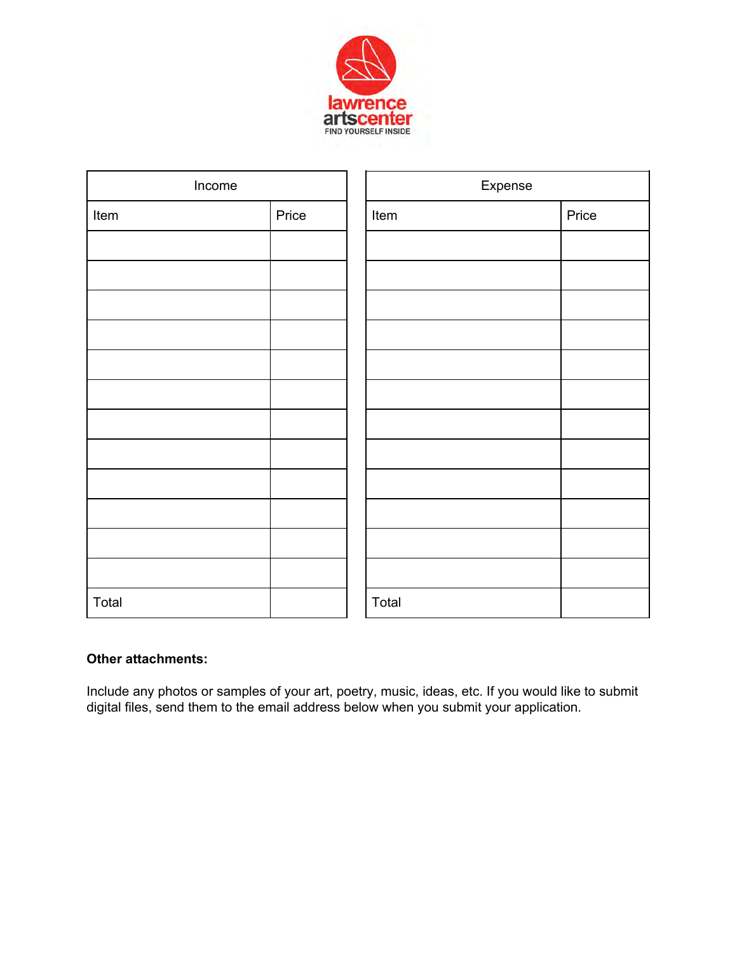

| Income |       | Expense |       |
|--------|-------|---------|-------|
| Item   | Price | Item    | Price |
|        |       |         |       |
|        |       |         |       |
|        |       |         |       |
|        |       |         |       |
|        |       |         |       |
|        |       |         |       |
|        |       |         |       |
|        |       |         |       |
|        |       |         |       |
|        |       |         |       |
|        |       |         |       |
|        |       |         |       |
| Total  |       | Total   |       |

## **Other attachments:**

Include any photos or samples of your art, poetry, music, ideas, etc. If you would like to submit digital files, send them to the email address below when you submit your application.